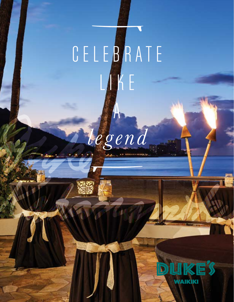# CELEBRATE LIKE

*legend*

A

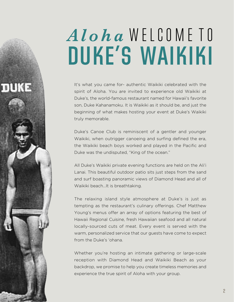## *Aloha* W E L C O M E T O **DUKE'S WAIKIKI**

It's what you came for- authentic Waikiki celebrated with the spirit of Aloha. You are invited to experience old Waikiki at Duke's, the world-famous restaurant named for Hawaii's favorite son, Duke Kahanamoku. It is Waikiki as it should be, and just the beginning of what makes hosting your event at Duke's Waikiki truly memorable.

пика

Duke's Canoe Club is reminiscent of a gentler and younger Waikiki, when outrigger canoeing and surfing defined the era, the Waikiki beach boys worked and played in the Pacific and Duke was the undisputed, "King of the ocean."

All Duke's Waikiki private evening functions are held on the Ali'i Lanai. This beautiful outdoor patio sits just steps from the sand and surf boasting panoramic views of Diamond Head and all of Waikiki beach…It is breathtaking.

The relaxing island style atmosphere at Duke's is just as tempting as the restaurant's culinary offerings. Chef Matthew Young's menus offer an array of options featuring the best of Hawaii Regional Cuisine, fresh Hawaiian seafood and all natural locally-sourced cuts of meat. Every event is served with the warm, personalized service that our guests have come to expect from the Duke's 'ohana.

Whether you're hosting an intimate gathering or large-scale reception with Diamond Head and Waikiki Beach as your backdrop, we promise to help you create timeless memories and experience the true spirit of Aloha with your group.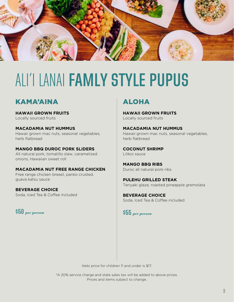

### ALI'I LANAI **FAMLY STYLE PUPUS**

#### KAMA'AINA

**HAWAII GROWN FRUITS** Locally sourced fruits

**MACADAMIA NUT HUMMUS**  Hawaii grown mac nuts, seasonal vegetables, herb flatbread

**MANGO BBQ DUROC PORK SLIDERS** All natural pork, tomatillo slaw, caramelized onions, Hawaiian sweet roll

**MACADAMIA NUT FREE RANGE CHICKEN**  Free range chicken breast, panko crusted, guava katsu sauce

**BEVERAGE CHOICE** Soda, Iced Tea & Coffee included

**\$50** *per person*

### ALOHA

**HAWAII GROWN FRUITS** Locally sourced fruits

**MACADAMIA NUT HUMMUS**  Hawaii grown mac nuts, seasonal vegetables, herb flatbread

**COCONUT SHRIMP** Lilikoi sauce

**MANGO BBQ RIBS** Duroc all natural pork ribs

**PULEHU GRILLED STEAK** Teriyaki glaze, roasted pineapple gremolata

**BEVERAGE CHOICE** Soda, Iced Tea & Coffee included

**\$55** *per person*

Keiki price for children 11 and under is \$17.

\*A 20% service charge and state sales tax will be added to above prices. Prices and items subject to change.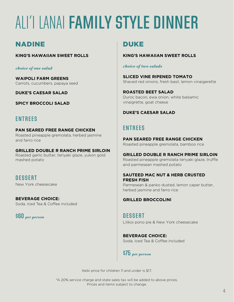## ALI'I LANAI **FAMILY STYLE DINNER**

#### NADINE

**KING'S HAWAIIAN SWEET ROLLS**

*choice of one salad*

**WAIPOLI FARM GREENS** Carrots, cucumbers, papaya seed

**DUKE'S CAESAR SALAD**

**SPICY BROCCOLI SALAD**

#### **ENTREES**

#### **PAN SEARED FREE RANGE CHICKEN** Roasted pineapple gremolata, herbed jasmine

and farro rice

#### **GRILLED DOUBLE R RANCH PRIME SIRLOIN** Roasted garlic butter, teriyaki glaze, yukon gold mashed potato

### **DESSERT**

New York cheesecake

**BEVERAGE CHOICE:** Soda, Iced Tea & Coffee included

**\$60** *per person*

### DUKE

#### **KING'S HAWAIIAN SWEET ROLLS**

#### *choice of two salads*

**SLICED VINE RIPENED TOMATO** Shaved red onions, fresh basil, lemon vinaigerette

**ROASTED BEET SALAD** Duroc bacon, ewa onion, white balsamic vinaigrette, goat cheese

#### **DUKE'S CAESAR SALAD**

#### **ENTREES**

**PAN SEARED FREE RANGE CHICKEN** Roasted pineapple gremolata, bamboo rice

#### **GRILLED DOUBLE R RANCH PRIME SIRLOIN**

Roasted pineapple gremolata teriyaki glaze, truffle and parmesean mashed potato

#### **SAUTEED MAC NUT & HERB CRUSTED FRESH FISH**

Parmesean & panko dusted, lemon caper butter, herbed jasmine and farro rice

**GRILLED BROCCOLINI**

**DESSERT**  Lilikoi pono pie & New York cheesecake

#### **BEVERAGE CHOICE:**

Soda, Iced Tea & Coffee included

#### **\$75** *per person*

Keiki price for children 11 and under is \$17.

\*A 20% service charge and state sales tax will be added to above prices. Prices and items subject to change.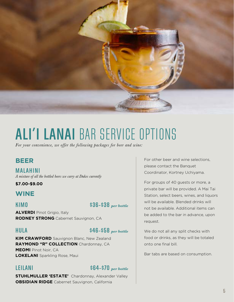

### **ALI'I LANAI** BAR SERVICE OPTIONS

*For your convenience, we offer the following packages for beer and wine:*

#### **BEER**

**MALAHINI**  *A mixture of all the bottled beers we carry at Dukes currently*

#### **\$7.00-\$9.00**

#### **WINE**

#### **KIMO \$36-\$38** *per bottle*

**ALVERDI Pinot Grigio, Italy RODNEY STRONG** Cabernet Sauvignon, CA

#### **HULA \$46-\$58** *per bottle*

**KIM CRAWFORD** Sauvignon Blanc, New Zealand **RAYMOND "R" COLLECTION** Chardonnay, CA **MEOMI** Pinot Noir, CA **LOKELANI** Sparkling Rose, Maui

#### **LEILANI \$64-\$70** *per bottle*

**STUHLMULLER 'ESTATE'** Chardonnay, Alexander Valley **OBSIDIAN RIDGE** Cabernet Sauvignon, California

For other beer and wine selections, please contact the Banquet Coordinator, Kortney Uchiyama.

For groups of 40 guests or more, a private bar will be provided. A Mai Tai Station, select beers, wines, and liquors will be available. Blended drinks will not be available. Additional items can be added to the bar in advance, upon request.

We do not all any split checks with food or drinks, as they will be totaled onto one final bill.

Bar tabs are based on consumption.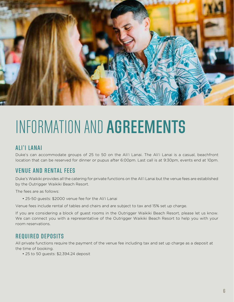

## INFORMATION AND **AGREEMENTS**

#### **ALI'I LANAI**

Duke's can accommodate groups of 25 to 50 on the Ali'i Lanai. The Ali'i Lanai is a casual, beachfront location that can be reserved for dinner or pupus after 6:00pm. Last call is at 9:30pm, events end at 10pm.

#### **VENUE AND RENTAL FEES**

Duke's Waikiki provides all the catering for private functions on the Ali'i Lanai but the venue fees are established by the Outrigger Waikiki Beach Resort.

The fees are as follows:

• 25-50 guests: \$2000 venue fee for the Ali'i Lanai

Venue fees include rental of tables and chairs and are subject to tax and 15% set up charge.

If you are considering a block of guest rooms in the Outrigger Waikiki Beach Resort, please let us know. We can connect you with a representative of the Outrigger Waikiki Beach Resort to help you with your room reservations.

#### **REQUIRED DEPOSITS**

All private functions require the payment of the venue fee including tax and set up charge as a deposit at the time of booking.

• 25 to 50 guests: \$2,394.24 deposit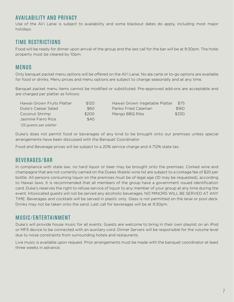#### **AVAILABILITY AND PRIVACY**

Use of the Ali'i Lanai is subject to availability and some blackout dates do apply, including most major holidays.

#### **TIME RESTRICTIONS**

Food will be ready for dinner upon arrival of the group and the last call for the bar will be at 9:30pm. The hotel property must be cleared by 10pm.

#### **MENUS**

Only banquet packet menu options will be offered on the Ali'i Lanai. No ala carte or to-go options are available for food or drinks. Menu prices and menu options are subject to change seasonally and at any time.

Banquet packet menu items cannot be modified or substituted. Pre-approved add-ons are acceptable and are charged per platter as follows:

| Hawaii Grown Fruits Platter | \$120      | Hawaii Grown Vegetable Platter | \$75  |
|-----------------------------|------------|--------------------------------|-------|
| Duke's Caesar Salad         | <b>S60</b> | Panko Fried Calamari           | \$160 |
| Coconut Shrimp              | \$200      | Mango BBQ Ribs                 | \$330 |
| Jasmine Farro Rice          | \$40       |                                |       |
| *25 guests per platter      |            |                                |       |

Duke's does not permit food or beverages of any kind to be brought onto our premises unless special arrangements have been discussed with the Banquet Coordinator.

Food and Beverage prices will be subject to a 20% service charge and 4.712% state tax.

#### **BEVERAGES/BAR**

In compliance with state law, no hard liquor or beer may be brought onto the premises. Corked wine and champagne that are not currently carried on the Dukes Waikiki wine list are subject to a corkage fee of \$20 per bottle. All persons consuming liquor on the premises must be of legal age (ID may be requested), according to Hawaii laws. It is recommended that all members of the group have a government issued identification card. Duke's reserves the right to refuse service of liquor to any member of your group at any time during the event. Intoxicated guests will not be served any alcoholic beverages. NO MINORS WILL BE SERVED AT ANY TIME. Beverages and cocktails will be served in plastic only. Glass is not permitted on the lanai or pool deck. Drinks may not be taken onto the sand. Last call for beverages will be at 9:30pm.

#### **MUSIC/ENTERTAINMENT**

Duke's will provide house music for all events. Guests are welcome to bring in their own playlist on an iPod or MP3 device to be connected with an auxiliary cord. Dinner Servers will be responsible for the volume level due to noise constraints from surrounding hotels and restaurants.

Live music is available upon request. Prior arrangements must be made with the banquet coordinator at least three weeks in advance.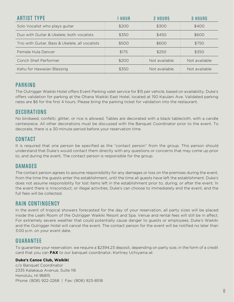| <b>ARTIST TYPE</b>                              | I HOUR | 2 HOURS       | <b>3 HOURS</b> |
|-------------------------------------------------|--------|---------------|----------------|
| Solo Vocalist who plays guitar                  | \$200  | \$300         | \$400          |
| Duo with Guitar & Ukelele, both vocalists       | \$350  | \$450         | \$600          |
| Trio with Guitar, Bass & Ukelele, all vocalists | \$500  | \$600         | \$750          |
| Female Hula Dancer                              | \$175  | \$250         | \$350          |
| Conch Shell Performer                           | \$200  | Not available | Not available  |
| Kahu for Hawaiian Blessing                      | \$350  | Not available | Not available  |

#### **PARKING**

The Outrigger Waikiki Hotel offers Event Parking valet service for \$15 per vehicle, based on availability. Duke's offers validation for parking at the Ohana Waikiki East Hotel, located at 150 Kaiulani Ave. Validated parking rates are \$6 for the first 4 hours. Please bring the parking ticket for validation into the restaurant.

#### **DECORATIONS**

No birdseed, confetti, glitter, or rice is allowed. Tables are decorated with a black tablecloth, with a candle centerpiece. All other decorations must be discussed with the Banquet Coordinator prior to the event. To decorate, there is a 30-minute period before your reservation time.

#### **CONTACT**

It is required that one person be specified as the "contact person" from the group. This person should understand that Duke's would contact them directly with any questions or concerns that may come up prior to, and during the event. The contact person is responsible for the group.

#### **DAMAGES**

The contact person agrees to assume responsibility for any damages or loss on the premises during the event, from the time the guests enter the establishment, until the time all guests have left the establishment. Duke's does not assume responsibility for lost items left in the establishment prior to, during, or after the event. In the event there is misconduct, or illegal activities, Duke's can choose to immediately end the event, and the full fees will be collected.

#### **RAIN CONTINGENCY**

In the event of tropical showers forecasted for the day of your reservation, all party sizes will be placed inside the Leahi Room of the Outrigger Waikiki Resort and Spa. Venue and rental fees will still be in affect. For extremely severe weather that could potentially cause danger to guests or employees, Duke's Waikiki and the Outrigger Hotel will cancel the event. The contact person for the event will be notified no later than 3:00 p.m. on your event date.

#### **GUARANTEE**

To guarantee your reservation, we require a \$2394.23 deposit, depending on party size, in the form of a credit card that you can **FAX** to our banquet coordinator, Kortney Uchiyama at:

#### **Duke's Canoe Club, Waikiki**

c/o Banquet Coordinator 2335 Kalakaua Avenue, Suite 116 Honolulu, HI 96815 Phone: (808) 922-2268 | Fax: (808) 923-8518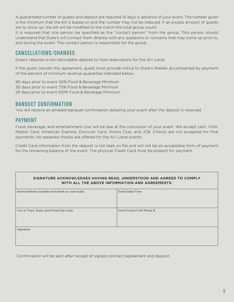A guaranteed number of guests and deposit are required 14 days in advance of your event. The number given is the minimum that the bill is based on and the number may not be reduced. If an excess amount of guests are to show up, the bill will be modified to the match the total group count.

It is required that one person be specified as the "contact person" from the group. This person should understand that Duke's will contact them directly with any questions or concerns that may come up prior to, and during the event. The contact person is responsible for the group.

#### **CANCELLATIONS/CHANGES**

Duke's requires a non-refundable deposit to hold reservations for the Ali'i Lanai.

If the guest cancels this agreement, guest must provide notice to Duke's Waikiki accompanied by payment of the percent of minimum revenue guarantee indicated below:

90 days prior to event 50% Food & Beverage Minimum 30 days prior to event 75% Food & Beverage Minimum 29 days prior to event 100% Food & Beverage Minimum

#### **BANQUET CONFIRMATION**

You will receive an emailed banquet confirmation detailing your event after the deposit is received.

#### **PAYMENT**

Food, beverage, and entertainment cost will be due at the conclusion of your event. We accept cash, VISA, Master Card, American Express, Discover Card, Diners Club, and JCB. Checks are not accepted for final payments. No separate checks are offered for the Ali'i Lanai events.

Credit Card information from the deposit is not kept on file and will not be an acceptable form of payment for the remaining balance of the event. The physical Credit Card must be present for payment.

#### SIGNATURE ACKNOWLEDGES HAVING READ, UNDERSTOOD AND AGREED TO COMPLY WITH ALL THE ABOVE INFORMATION AND AGREEMENTS:

| Home Address (number and street or rural route) | Event Date/Time           |
|-------------------------------------------------|---------------------------|
| City or Town, State, and Postal/Zip Code        | Host/Contact Cell Phone # |
| Signature                                       |                           |

Confirmation will be sent after receipt of signed contract/agreement and deposit.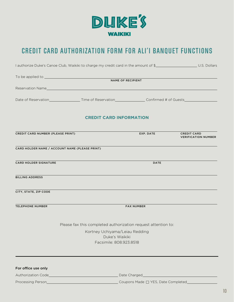

### **CREDIT CARD AUTHORIZATION FORM FOR ALI'I BANQUET FUNCTIONS**

| I authorize Duke's Canoe Club, Waikiki to charge my credit card in the amount of \$ |                                                                                                                                           |                   |                                                  |  |  |  |
|-------------------------------------------------------------------------------------|-------------------------------------------------------------------------------------------------------------------------------------------|-------------------|--------------------------------------------------|--|--|--|
|                                                                                     |                                                                                                                                           |                   |                                                  |  |  |  |
|                                                                                     | NAME OF RECIPIENT                                                                                                                         |                   |                                                  |  |  |  |
|                                                                                     | Reservation Name and the contract of the contract of the contract of the contract of the contract of the contract of                      |                   |                                                  |  |  |  |
|                                                                                     |                                                                                                                                           |                   |                                                  |  |  |  |
|                                                                                     | <b>CREDIT CARD INFORMATION</b>                                                                                                            |                   |                                                  |  |  |  |
| CREDIT CARD NUMBER (PLEASE PRINT)                                                   |                                                                                                                                           | EXP. DATE         | <b>CREDIT CARD</b><br><b>VERIFICATION NUMBER</b> |  |  |  |
|                                                                                     | CARD HOLDER NAME / ACCOUNT NAME (PLEASE PRINT)                                                                                            |                   |                                                  |  |  |  |
| <b>CARD HOLDER SIGNATURE</b>                                                        |                                                                                                                                           | <b>DATE</b>       |                                                  |  |  |  |
| <b>BILLING ADDRESS</b>                                                              |                                                                                                                                           |                   |                                                  |  |  |  |
| CITY, STATE, ZIP CODE                                                               |                                                                                                                                           |                   |                                                  |  |  |  |
| <b>TELEPHONE NUMBER</b>                                                             |                                                                                                                                           | <b>FAX NUMBER</b> |                                                  |  |  |  |
|                                                                                     | Please fax this completed authorization request attention to:                                                                             |                   |                                                  |  |  |  |
|                                                                                     | Kortney Uchiyama/Leiau Redding<br>Duke's Waikiki<br>Facsimile: 808.923.8518                                                               |                   |                                                  |  |  |  |
|                                                                                     |                                                                                                                                           |                   |                                                  |  |  |  |
| For office use only                                                                 |                                                                                                                                           |                   |                                                  |  |  |  |
|                                                                                     |                                                                                                                                           |                   |                                                  |  |  |  |
|                                                                                     | Processing Person <b>Communication Communication</b> Coupons Made <a>Completed</a> CompletedCompletedCompletedCompletedCompletedCompleted |                   |                                                  |  |  |  |